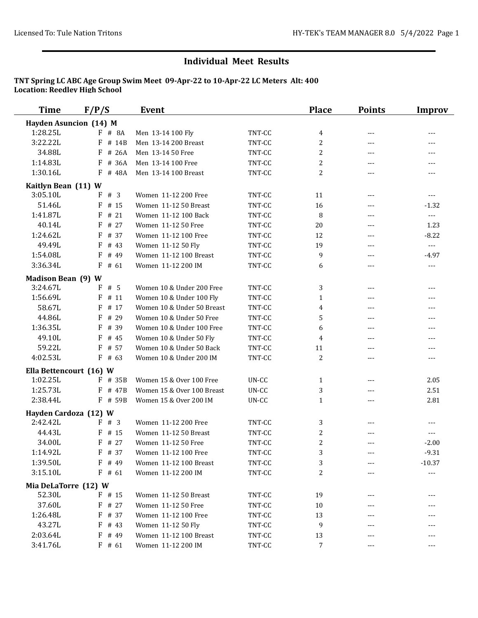| <b>Time</b>               | F/P/S                         | Event                      |        | <b>Place</b>   | <b>Points</b> | <b>Improv</b>  |
|---------------------------|-------------------------------|----------------------------|--------|----------------|---------------|----------------|
|                           | <b>Hayden Asuncion (14) M</b> |                            |        |                |               |                |
| 1:28.25L                  | # 8A<br>F.                    | Men 13-14 100 Fly          | TNT-CC | 4              | ---           | $---$          |
| 3:22.22L                  | F<br># 14B                    | Men 13-14 200 Breast       | TNT-CC | 2              | ---           | ---            |
| 34.88L                    | $F$ # 26A                     | Men 13-14 50 Free          | TNT-CC | 2              | $---$         | $\cdots$       |
| 1:14.83L                  | F<br># 36A                    | Men 13-14 100 Free         | TNT-CC | 2              | ---           | $---$          |
| 1:30.16L                  | # 48A<br>F                    | Men 13-14 100 Breast       | TNT-CC | 2              | $- - -$       | $---$          |
| Kaitlyn Bean (11) W       |                               |                            |        |                |               |                |
| 3:05.10L                  | F # 3                         | Women 11-12 200 Free       | TNT-CC | 11             | ---           | $\cdots$       |
| 51.46L                    | F<br># 15                     | Women 11-12 50 Breast      | TNT-CC | 16             | $---$         | $-1.32$        |
| 1:41.87L                  | F<br>#21                      | Women 11-12 100 Back       | TNT-CC | 8              | $---$         | $\overline{a}$ |
| 40.14L                    | # 27<br>F                     | Women 11-12 50 Free        | TNT-CC | 20             | $---$         | 1.23           |
| 1:24.62L                  | F<br># 37                     | Women 11-12 100 Free       | TNT-CC | 12             | $---$         | $-8.22$        |
| 49.49L                    | # 43<br>F                     | Women 11-12 50 Fly         | TNT-CC | 19             | $---$         | $\overline{a}$ |
| 1:54.08L                  | F<br># 49                     | Women 11-12 100 Breast     | TNT-CC | 9              | $---$         | $-4.97$        |
| 3:36.34L                  | $F$ # 61                      | Women 11-12 200 IM         | TNT-CC | 6              | ---           | $\cdots$       |
| <b>Madison Bean (9) W</b> |                               |                            |        |                |               |                |
| 3:24.67L                  | F<br>#5                       | Women 10 & Under 200 Free  | TNT-CC | 3              | $---$         | ---            |
| 1:56.69L                  | F<br># 11                     | Women 10 & Under 100 Fly   | TNT-CC | $\mathbf{1}$   | $---$         | $---$          |
| 58.67L                    | F<br># 17                     | Women 10 & Under 50 Breast | TNT-CC | 4              | $---$         | $\cdots$       |
| 44.86L                    | # 29<br>F                     | Women 10 & Under 50 Free   | TNT-CC | 5              | ---           | ---            |
| 1:36.35L                  | F<br># 39                     | Women 10 & Under 100 Free  | TNT-CC | 6              | $---$         | ---            |
| 49.10L                    | F<br># 45                     | Women 10 & Under 50 Fly    | TNT-CC | $\overline{4}$ | ---           | $---$          |
| 59.22L                    | F<br># 57                     | Women 10 & Under 50 Back   | TNT-CC | 11             | ---           | ---            |
| 4:02.53L                  | F<br># 63                     | Women 10 & Under 200 IM    | TNT-CC | 2              | ---           | $\cdots$       |
| Ella Bettencourt (16) W   |                               |                            |        |                |               |                |
| 1:02.25L                  | F<br># 35B                    | Women 15 & Over 100 Free   | UN-CC  | $\mathbf{1}$   | ---           | 2.05           |
| 1:25.73L                  | F<br># 47B                    | Women 15 & Over 100 Breast | UN-CC  | 3              | $---$         | 2.51           |
| 2:38.44L                  | $F$ # 59B                     | Women 15 & Over 200 IM     | UN-CC  | $\mathbf{1}$   | ---           | 2.81           |
| Hayden Cardoza (12) W     |                               |                            |        |                |               |                |
| 2:42.42L                  | F<br># 3                      | Women 11-12 200 Free       | TNT-CC | 3              | ---           | $---$          |
| 44.43L                    | F<br># 15                     | Women 11-12 50 Breast      | TNT-CC | $\overline{c}$ | ---           | ---            |
| 34.00L                    | F<br># 27                     | Women 11-12 50 Free        | TNT-CC | $\overline{c}$ | ---           | $-2.00$        |
| 1:14.92L                  | F # 37                        | Women 11-12 100 Free       | TNT-CC | 3              |               | $-9.31$        |
| 1:39.50L                  | $F$ # 49                      | Women 11-12 100 Breast     | TNT-CC | 3              |               | $-10.37$       |
| 3:15.10L                  | $F$ # 61                      | Women 11-12 200 IM         | TNT-CC | 2              |               | ---            |
| Mia DeLaTorre (12) W      |                               |                            |        |                |               |                |
| 52.30L                    | $F$ # 15                      | Women 11-12 50 Breast      | TNT-CC | 19             |               |                |
| 37.60L                    | $F$ # 27                      | Women 11-12 50 Free        | TNT-CC | 10             |               |                |
| 1:26.48L                  | $F$ # 37                      | Women 11-12 100 Free       | TNT-CC | 13             |               |                |
| 43.27L                    | $F$ # 43                      | Women 11-12 50 Fly         | TNT-CC | 9              |               |                |
| 2:03.64L                  | # 49<br>F                     | Women 11-12 100 Breast     | TNT-CC | 13             |               |                |
| 3:41.76L                  | $F$ # 61                      | Women 11-12 200 IM         | TNT-CC | 7              | ---           | ---            |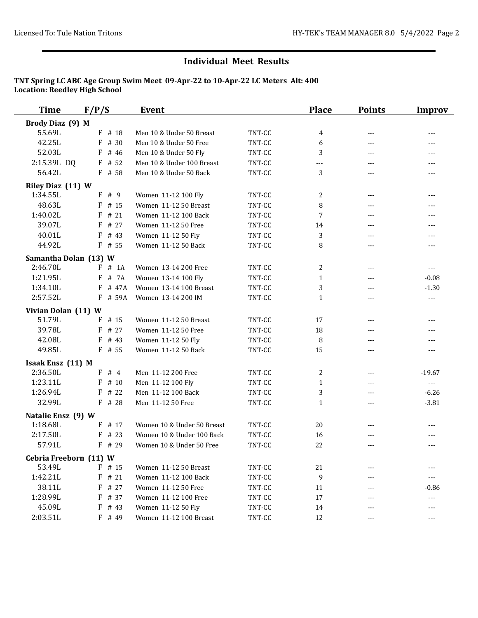| <b>Time</b>            | F/P/S      | <b>Event</b>               |        | <b>Place</b> | <b>Points</b>        | <b>Improv</b>                                                                                                                                                                                                                                                                                                                                                                                |
|------------------------|------------|----------------------------|--------|--------------|----------------------|----------------------------------------------------------------------------------------------------------------------------------------------------------------------------------------------------------------------------------------------------------------------------------------------------------------------------------------------------------------------------------------------|
| Brody Diaz (9) M       |            |                            |        |              |                      |                                                                                                                                                                                                                                                                                                                                                                                              |
| 55.69L                 | $F$ # 18   | Men 10 & Under 50 Breast   | TNT-CC | 4            | $---$                | $---$                                                                                                                                                                                                                                                                                                                                                                                        |
| 42.25L                 | # 30<br>F  | Men 10 & Under 50 Free     | TNT-CC | 6            | $\qquad \qquad - -$  | $---$                                                                                                                                                                                                                                                                                                                                                                                        |
| 52.03L                 | F<br># 46  | Men 10 & Under 50 Fly      | TNT-CC | 3            | $---$                | $---$                                                                                                                                                                                                                                                                                                                                                                                        |
| 2:15.39L DQ            | $F$ # 52   | Men 10 & Under 100 Breast  | TNT-CC | ---          | $\qquad \qquad - -$  | ---                                                                                                                                                                                                                                                                                                                                                                                          |
| 56.42L                 | F # 58     | Men 10 & Under 50 Back     | TNT-CC | 3            | $---$                | $---$                                                                                                                                                                                                                                                                                                                                                                                        |
| Riley Diaz (11) W      |            |                            |        |              |                      |                                                                                                                                                                                                                                                                                                                                                                                              |
| 1:34.55L               | F#9        | Women 11-12 100 Fly        | TNT-CC | 2            | $---$                | $---$                                                                                                                                                                                                                                                                                                                                                                                        |
| 48.63L                 | $F$ # 15   | Women 11-12 50 Breast      | TNT-CC | 8            | $\qquad \qquad - -$  | $---$                                                                                                                                                                                                                                                                                                                                                                                        |
| 1:40.02L               | F<br>#21   | Women 11-12 100 Back       | TNT-CC | 7            | $---$                | $\cdots$                                                                                                                                                                                                                                                                                                                                                                                     |
| 39.07L                 | # 27<br>F  | Women 11-12 50 Free        | TNT-CC | 14           | $---$                | $\cdots$                                                                                                                                                                                                                                                                                                                                                                                     |
| 40.01L                 | F<br># 43  | Women 11-12 50 Fly         | TNT-CC | 3            | $- - -$              | $---$                                                                                                                                                                                                                                                                                                                                                                                        |
| 44.92L                 | F<br># 55  | Women 11-12 50 Back        | TNT-CC | 8            | $---$                | $\cdots$                                                                                                                                                                                                                                                                                                                                                                                     |
| Samantha Dolan (13) W  |            |                            |        |              |                      |                                                                                                                                                                                                                                                                                                                                                                                              |
| 2:46.70L               | # 1A<br>F  | Women 13-14 200 Free       | TNT-CC | 2            | $---$                | $---$                                                                                                                                                                                                                                                                                                                                                                                        |
| 1:21.95L               | F<br># 7A  | Women 13-14 100 Fly        | TNT-CC | $\mathbf{1}$ | $---$                | $-0.08$                                                                                                                                                                                                                                                                                                                                                                                      |
| 1:34.10L               | # 47A<br>F | Women 13-14 100 Breast     | TNT-CC | 3            | $---$                | $-1.30$                                                                                                                                                                                                                                                                                                                                                                                      |
| 2:57.52L               | F # 59A    | Women 13-14 200 IM         | TNT-CC | $\mathbf{1}$ | ---                  | $\overline{a}$                                                                                                                                                                                                                                                                                                                                                                               |
| Vivian Dolan (11) W    |            |                            |        |              |                      |                                                                                                                                                                                                                                                                                                                                                                                              |
| 51.79L                 | F<br># 15  | Women 11-12 50 Breast      | TNT-CC | 17           | $---$                | $---$                                                                                                                                                                                                                                                                                                                                                                                        |
| 39.78L                 | F<br># 27  | Women 11-12 50 Free        | TNT-CC | 18           | $\sim$ $\sim$ $\sim$ | ---                                                                                                                                                                                                                                                                                                                                                                                          |
| 42.08L                 | F<br># 43  | Women 11-12 50 Fly         | TNT-CC | 8            | $---$                | $---$                                                                                                                                                                                                                                                                                                                                                                                        |
| 49.85L                 | $F$ # 55   | Women 11-12 50 Back        | TNT-CC | 15           | $---$                | $---$                                                                                                                                                                                                                                                                                                                                                                                        |
| Isaak Ensz (11) M      |            |                            |        |              |                      |                                                                                                                                                                                                                                                                                                                                                                                              |
| 2:36.50L               | F # 4      | Men 11-12 200 Free         | TNT-CC | 2            | $\qquad \qquad - -$  | $-19.67$                                                                                                                                                                                                                                                                                                                                                                                     |
| 1:23.11L               | F # 10     | Men 11-12 100 Fly          | TNT-CC | 1            | $\cdots$             | $\frac{1}{2} \frac{1}{2} \frac{1}{2} \frac{1}{2} \frac{1}{2} \frac{1}{2} \frac{1}{2} \frac{1}{2} \frac{1}{2} \frac{1}{2} \frac{1}{2} \frac{1}{2} \frac{1}{2} \frac{1}{2} \frac{1}{2} \frac{1}{2} \frac{1}{2} \frac{1}{2} \frac{1}{2} \frac{1}{2} \frac{1}{2} \frac{1}{2} \frac{1}{2} \frac{1}{2} \frac{1}{2} \frac{1}{2} \frac{1}{2} \frac{1}{2} \frac{1}{2} \frac{1}{2} \frac{1}{2} \frac{$ |
| 1:26.94L               | F<br># 22  | Men 11-12 100 Back         | TNT-CC | 3            | $---$                | $-6.26$                                                                                                                                                                                                                                                                                                                                                                                      |
| 32.99L                 | F # 28     | Men 11-12 50 Free          | TNT-CC | $\mathbf{1}$ | $-$                  | $-3.81$                                                                                                                                                                                                                                                                                                                                                                                      |
| Natalie Ensz (9) W     |            |                            |        |              |                      |                                                                                                                                                                                                                                                                                                                                                                                              |
| 1:18.68L               | F # 17     | Women 10 & Under 50 Breast | TNT-CC | 20           | ---                  | ---                                                                                                                                                                                                                                                                                                                                                                                          |
| 2:17.50L               | F<br># 23  | Women 10 & Under 100 Back  | TNT-CC | 16           | ---                  | $- - -$                                                                                                                                                                                                                                                                                                                                                                                      |
| 57.91L                 | $F$ # 29   | Women 10 & Under 50 Free   | TNT-CC | 22           | $---$                | $---$                                                                                                                                                                                                                                                                                                                                                                                        |
| Cebria Freeborn (11) W |            |                            |        |              |                      |                                                                                                                                                                                                                                                                                                                                                                                              |
| 53.49L                 | $F$ # 15   | Women 11-12 50 Breast      | TNT-CC | 21           | ---                  |                                                                                                                                                                                                                                                                                                                                                                                              |
| 1:42.21L               | $F$ # 21   | Women 11-12 100 Back       | TNT-CC | 9            |                      | ---                                                                                                                                                                                                                                                                                                                                                                                          |
| 38.11L                 | F<br># 27  | Women 11-12 50 Free        | TNT-CC | 11           | ---                  | $-0.86$                                                                                                                                                                                                                                                                                                                                                                                      |
| 1:28.99L               | F<br># 37  | Women 11-12 100 Free       | TNT-CC | $17\,$       | ---                  | $---$                                                                                                                                                                                                                                                                                                                                                                                        |
| 45.09L                 | F<br># 43  | Women 11-12 50 Fly         | TNT-CC | 14           | $---$                | $---$                                                                                                                                                                                                                                                                                                                                                                                        |
| 2:03.51L               | F # 49     | Women 11-12 100 Breast     | TNT-CC | 12           | $\qquad \qquad - -$  | $---$                                                                                                                                                                                                                                                                                                                                                                                        |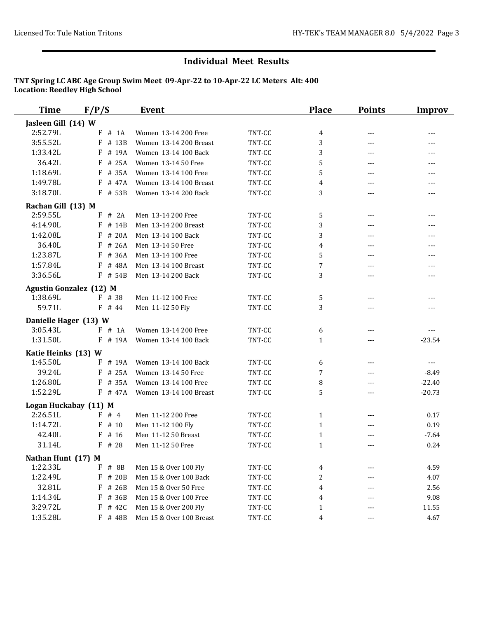| <b>Time</b>                       | F/P/S                          | <b>Event</b>             |        | <b>Place</b>                 | <b>Points</b>       | <b>Improv</b> |
|-----------------------------------|--------------------------------|--------------------------|--------|------------------------------|---------------------|---------------|
| Jasleen Gill (14) W               |                                |                          |        |                              |                     |               |
| 2:52.79L                          | F<br>$#$ 1A                    | Women 13-14 200 Free     | TNT-CC | 4                            | $\qquad \qquad - -$ | ---           |
| 3:55.52L                          | F<br># 13B                     | Women 13-14 200 Breast   | TNT-CC | 3                            | $---$               | $---$         |
| 1:33.42L                          | F<br># 19A                     | Women 13-14 100 Back     | TNT-CC | 3                            | ---                 | $---$         |
| 36.42L                            | # 25A<br>F                     | Women 13-14 50 Free      | TNT-CC | 5                            | $---$               | ---           |
| 1:18.69L                          | F<br># 35A                     | Women 13-14 100 Free     | TNT-CC | 5                            | $---$               |               |
| 1:49.78L                          | # 47A<br>F                     | Women 13-14 100 Breast   | TNT-CC | 4                            | $- - -$             | $- - -$       |
| 3:18.70L                          | $F$ # 53B                      | Women 13-14 200 Back     | TNT-CC | 3                            | $-$                 | $ -$          |
| Rachan Gill (13) M                |                                |                          |        |                              |                     |               |
| 2:59.55L                          | F # 2A                         | Men 13-14 200 Free       | TNT-CC | 5                            | $\cdots$            | $ -$          |
| 4:14.90L                          | $F$ # 14B                      | Men 13-14 200 Breast     | TNT-CC | 3                            | $---$               | $---$         |
| 1:42.08L                          | F<br># 20A                     | Men 13-14 100 Back       | TNT-CC | 3                            | $-$                 | $-$ - $-$     |
| 36.40L                            | # 26A<br>F                     | Men 13-14 50 Free        | TNT-CC | 4                            | $---$               | $---$         |
| 1:23.87L                          | # 36A<br>F                     | Men 13-14 100 Free       | TNT-CC | 5                            | $---$               | $---$         |
| 1:57.84L                          | F<br># 48A                     | Men 13-14 100 Breast     | TNT-CC | 7                            | $- - -$             | $---$         |
| 3:36.56L                          | $F$ # 54B                      | Men 13-14 200 Back       | TNT-CC | 3                            | ---                 | ---           |
|                                   | <b>Agustin Gonzalez (12) M</b> |                          |        |                              |                     |               |
| 1:38.69L                          | $F$ # 38                       | Men 11-12 100 Free       | TNT-CC | 5                            | $---$               | $---$         |
| 59.71L                            | $F$ # 44                       | Men 11-12 50 Fly         | TNT-CC | 3                            | $---$               |               |
| Danielle Hager (13) W             |                                |                          |        |                              |                     |               |
| 3:05.43L                          | F # 1A                         | Women 13-14 200 Free     | TNT-CC | 6                            | $- - -$             | $- - -$       |
| 1:31.50L                          | F # 19A                        | Women 13-14 100 Back     | TNT-CC | $\mathbf{1}$                 | ---                 | $-23.54$      |
| Katie Heinks (13) W               |                                |                          |        |                              |                     |               |
| 1:45.50L                          | F<br># 19A                     | Women 13-14 100 Back     | TNT-CC | 6                            | $---$               | $---$         |
| 39.24L                            | # 25A<br>F                     | Women 13-14 50 Free      | TNT-CC | 7                            | $\qquad \qquad - -$ | $-8.49$       |
| 1:26.80L                          | F # 35A                        | Women 13-14 100 Free     | TNT-CC | 8                            | $---$               | $-22.40$      |
| 1:52.29L                          | $F$ # 47A                      | Women 13-14 100 Breast   | TNT-CC | 5                            | $---$               | $-20.73$      |
|                                   |                                |                          |        |                              |                     |               |
| Logan Huckabay (11) M<br>2:26.51L | F # 4                          | Men 11-12 200 Free       | TNT-CC |                              |                     | 0.17          |
| 1:14.72L                          | $F$ # 10                       | Men 11-12 100 Fly        | TNT-CC | $\mathbf{1}$<br>$\mathbf{1}$ | $---$               | 0.19          |
| 42.40L                            | F<br># 16                      | Men 11-12 50 Breast      | TNT-CC |                              | $---$<br>---        | $-7.64$       |
| 31.14L                            | $F$ # 28                       | Men 11-12 50 Free        | TNT-CC | $\mathbf{1}$<br>$\mathbf{1}$ | $- - -$             | 0.24          |
|                                   |                                |                          |        |                              |                     |               |
| Nathan Hunt (17) M                |                                |                          |        |                              |                     |               |
| 1:22.33L                          | F<br># 8B                      | Men 15 & Over 100 Fly    | TNT-CC | 4                            |                     | 4.59          |
| 1:22.49L                          | F<br># 20B                     | Men 15 & Over 100 Back   | TNT-CC | 2                            | ---                 | 4.07          |
| 32.81L                            | F<br># 26B                     | Men 15 & Over 50 Free    | TNT-CC | 4                            |                     | 2.56          |
| 1:14.34L                          | F<br># 36B                     | Men 15 & Over 100 Free   | TNT-CC | 4                            |                     | 9.08          |
| 3:29.72L                          | F<br># 42C                     | Men 15 & Over 200 Fly    | TNT-CC | $\mathbf{1}$                 |                     | 11.55         |
| 1:35.28L                          | F # 48B                        | Men 15 & Over 100 Breast | TNT-CC | 4                            | ---                 | 4.67          |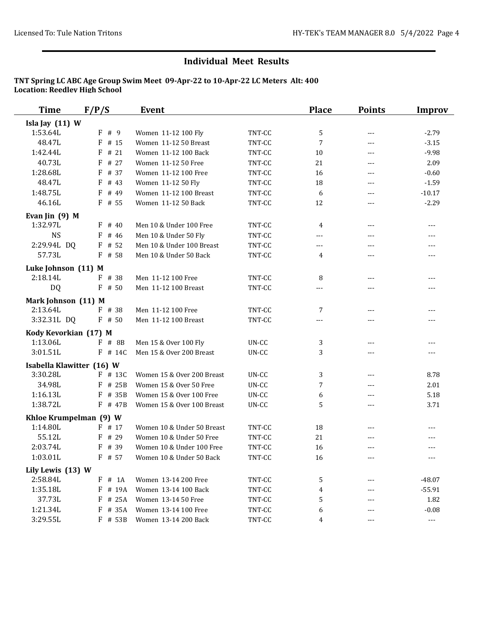| <b>Time</b>                           | F/P/S                 | <b>Event</b>                                          |        | <b>Place</b>   | <b>Points</b>              | <b>Improv</b>  |
|---------------------------------------|-----------------------|-------------------------------------------------------|--------|----------------|----------------------------|----------------|
| Isla Jay (11) W                       |                       |                                                       |        |                |                            |                |
| 1:53.64L                              | F#9                   | Women 11-12 100 Fly                                   | TNT-CC | 5              | $\cdots$                   | $-2.79$        |
| 48.47L                                | $F$ # 15              | Women 11-12 50 Breast                                 | TNT-CC | $\overline{7}$ | $\cdots$                   | $-3.15$        |
| 1:42.44L                              | # 21<br>F             | Women 11-12 100 Back                                  | TNT-CC | 10             | $\cdots$                   | $-9.98$        |
| 40.73L                                | # 27<br>F             | Women 11-12 50 Free                                   | TNT-CC | 21             | $---$                      | 2.09           |
| 1:28.68L                              | # 37<br>F             | Women 11-12 100 Free                                  | TNT-CC | 16             | $\cdots$                   | $-0.60$        |
| 48.47L                                | F<br># 43             | Women 11-12 50 Fly                                    | TNT-CC | 18             | $\qquad \qquad - -$        | $-1.59$        |
| 1:48.75L                              | F<br># 49             | Women 11-12 100 Breast                                | TNT-CC | 6              | ---                        | $-10.17$       |
| 46.16L                                | $F$ # 55              | Women 11-12 50 Back                                   | TNT-CC | 12             | $---$                      | $-2.29$        |
| Evan Jin $(9)$ M                      |                       |                                                       |        |                |                            |                |
| 1:32.97L                              | F<br># 40             | Men 10 & Under 100 Free                               | TNT-CC | 4              | $\cdots$                   | $---$          |
| <b>NS</b>                             | $\mathbf{F}$<br># 46  | Men 10 & Under 50 Fly                                 | TNT-CC | ---            | $---$                      | $\cdots$       |
| 2:29.94L DQ                           | # 52<br>F             | Men 10 & Under 100 Breast                             | TNT-CC | $---$          | ---                        | $---$          |
| 57.73L                                | # 58<br>F             | Men 10 & Under 50 Back                                | TNT-CC | 4              | ---                        | $---$          |
| Luke Johnson (11) M                   |                       |                                                       |        |                |                            |                |
| 2:18.14L                              | $F$ # 38              | Men 11-12 100 Free                                    | TNT-CC | 8              | $---$                      | $---$          |
| DQ                                    | $F$ # 50              | Men 11-12 100 Breast                                  | TNT-CC | ---            | ---                        | $\cdots$       |
| Mark Johnson (11) M                   |                       |                                                       |        |                |                            |                |
| 2:13.64L                              | $F$ # 38              | Men 11-12 100 Free                                    | TNT-CC | 7              | $---$                      | $---$          |
| 3:32.31L DQ                           | $F$ # 50              | Men 11-12 100 Breast                                  | TNT-CC | $---$          | ---                        | $---$          |
| Kody Kevorkian (17) M                 |                       |                                                       |        |                |                            |                |
| 1:13.06L                              | $F$ # 8B              | Men 15 & Over 100 Fly                                 | UN-CC  | 3              | $\qquad \qquad - -$        | $---$          |
| 3:01.51L                              | $F$ # 14C             | Men 15 & Over 200 Breast                              | UN-CC  | 3              | ---                        |                |
|                                       |                       |                                                       |        |                |                            |                |
| Isabella Klawitter (16) W<br>3:30.28L | $F$ # 13C             | Women 15 & Over 200 Breast                            | UN-CC  | 3              | $---$                      | 8.78           |
| 34.98L                                | # 25B<br>F            | Women 15 & Over 50 Free                               | UN-CC  | 7              | $---$                      | 2.01           |
| 1:16.13L                              | # 35B<br>F            | Women 15 & Over 100 Free                              | UN-CC  | 6              | $\cdots$                   | 5.18           |
| 1:38.72L                              | F # 47B               | Women 15 & Over 100 Breast                            | UN-CC  | 5              | $\cdots$                   | 3.71           |
|                                       |                       |                                                       |        |                |                            |                |
| Khloe Krumpelman (9) W                |                       |                                                       |        |                |                            |                |
| 1:14.80L                              | F # 17                | Women 10 & Under 50 Breast                            | TNT-CC | 18             | ---                        | $---$          |
| 55.12L<br>2:03.74L                    | # 29<br>F<br>$F$ # 39 | Women 10 & Under 50 Free                              | TNT-CC | 21             | ---                        | ---            |
| 1:03.01L                              | F # 57                | Women 10 & Under 100 Free<br>Women 10 & Under 50 Back | TNT-CC | 16             | ---                        | $---$          |
|                                       |                       |                                                       | TNT-CC | 16             | $\scriptstyle\mathtt{---}$ | $---$          |
| Lily Lewis (13) W                     |                       |                                                       |        |                |                            |                |
| 2:58.84L                              | $F$ # 1A              | Women 13-14 200 Free                                  | TNT-CC | 5              |                            | $-48.07$       |
| 1:35.18L                              | F<br># 19A            | Women 13-14 100 Back                                  | TNT-CC | 4              | ---                        | $-55.91$       |
| 37.73L                                | # 25A<br>F            | Women 13-14 50 Free                                   | TNT-CC | 5              |                            | 1.82           |
| 1:21.34L                              | F # 35A               | Women 13-14 100 Free                                  | TNT-CC | 6              | ---                        | $-0.08$        |
| 3:29.55L                              | F # 53B               | Women 13-14 200 Back                                  | TNT-CC | 4              | ---                        | $\overline{a}$ |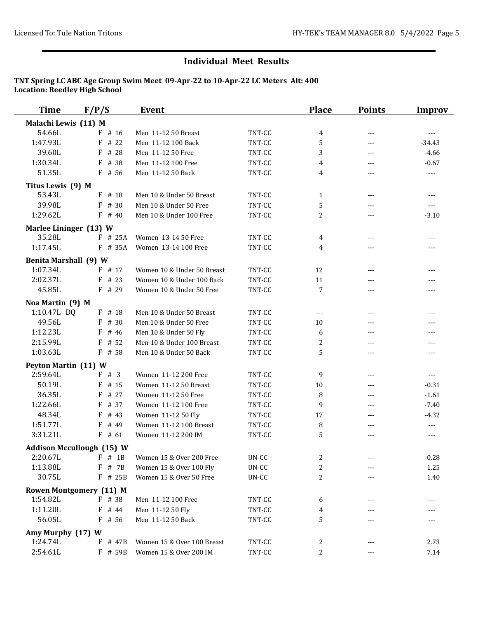| <b>Time</b>                  | F/P/S                            | <b>Event</b>               |        | <b>Place</b>     | <b>Points</b>       | <b>Improv</b>       |
|------------------------------|----------------------------------|----------------------------|--------|------------------|---------------------|---------------------|
| Malachi Lewis (11) M         |                                  |                            |        |                  |                     |                     |
| 54.66L                       | $F$ # 16                         | Men 11-12 50 Breast        | TNT-CC | 4                | $---$               | $\qquad \qquad - -$ |
| 1:47.93L                     | $F$ # 22                         | Men 11-12 100 Back         | TNT-CC | $\mathbf 5$      | $---$               | $-34.43$            |
| 39.60L                       | F # 28                           | Men 11-12 50 Free          | TNT-CC | 3                | $\qquad \qquad - -$ | $-4.66$             |
| 1:30.34L                     | F<br># 38                        | Men 11-12 100 Free         | TNT-CC | 4                | ---                 | $-0.67$             |
| 51.35L                       | $F$ # 56                         | Men 11-12 50 Back          | TNT-CC | 4                | ---                 | $\overline{a}$      |
| Titus Lewis (9) M            |                                  |                            |        |                  |                     |                     |
| 53.43L                       | $F$ # 18                         | Men 10 & Under 50 Breast   | TNT-CC | $\mathbf{1}$     | $---$               | $\qquad \qquad - -$ |
| 39.98L                       | $F$ # 30                         | Men 10 & Under 50 Free     | TNT-CC | $\mathbf 5$      | ---                 | $---$               |
| 1:29.62L                     | $F$ # 40                         | Men 10 & Under 100 Free    | TNT-CC | $\overline{c}$   | $---$               | $-3.10$             |
| Marlee Lininger (13) W       |                                  |                            |        |                  |                     |                     |
| 35.28L                       | $F$ # 25A                        | Women 13-14 50 Free        | TNT-CC | 4                | $---$               | $---$               |
| 1:17.45L                     | $F$ # 35A                        | Women 13-14 100 Free       | TNT-CC | 4                | ---                 | ---                 |
| <b>Benita Marshall (9) W</b> |                                  |                            |        |                  |                     |                     |
| 1:07.34L                     | $F$ # 17                         | Women 10 & Under 50 Breast | TNT-CC | 12               | $\qquad \qquad - -$ | $---$               |
| 2:02.37L                     | $F$ # 23                         | Women 10 & Under 100 Back  | TNT-CC | 11               | $---$               | $---$               |
| 45.85L                       | $F$ # 29                         | Women 10 & Under 50 Free   | TNT-CC | 7                | ---                 | ---                 |
|                              |                                  |                            |        |                  |                     |                     |
| Noa Martin (9) M             |                                  |                            |        |                  |                     |                     |
| 1:10.47L DQ                  | F # 18                           | Men 10 & Under 50 Breast   | TNT-CC | $\cdots$         | $---$               | $---$               |
| 49.56L                       | F # 30                           | Men 10 & Under 50 Free     | TNT-CC | 10               | ---                 | ---                 |
| 1:12.23L                     | # 46<br>F                        | Men 10 & Under 50 Fly      | TNT-CC | 6                | $---$               | ---                 |
| 2:15.99L                     | # 52<br>F                        | Men 10 & Under 100 Breast  | TNT-CC | $\overline{c}$   | ---                 | ---                 |
| 1:03.63L                     | $F$ # 58                         | Men 10 & Under 50 Back     | TNT-CC | 5                | $---$               | $---$               |
| Peyton Martin (11) W         |                                  |                            |        |                  |                     |                     |
| 2:59.64L                     | F # 3                            | Women 11-12 200 Free       | TNT-CC | 9                | $---$               | $- - -$             |
| 50.19L                       | F<br># 15                        | Women 11-12 50 Breast      | TNT-CC | 10               | $---$               | $-0.31$             |
| 36.35L                       | # 27<br>F                        | Women 11-12 50 Free        | TNT-CC | 8                | $---$               | $-1.61$             |
| 1:22.66L                     | $F$ # 37                         | Women 11-12 100 Free       | TNT-CC | 9                | $---$               | $-7.40$             |
| 48.34L                       | $F$ # 43                         | Women 11-12 50 Fly         | TNT-CC | 17               | $---$               | $-4.32$             |
| 1:51.77L                     | F<br># 49                        | Women 11-12 100 Breast     | TNT-CC | 8                | ---                 | $\cdots$            |
| 3:31.21L                     | $F$ # 61                         | Women 11-12 200 IM         | TNT-CC | $\mathbf 5$      | ---                 | $\cdots$            |
|                              | <b>Addison Mccullough (15) W</b> |                            |        |                  |                     |                     |
| 2:20.67L                     | $F$ # 1B                         | Women 15 & Over 200 Free   | UN-CC  | 2                |                     | 0.28                |
| 1:13.88L                     | $F$ # 7B                         | Women 15 & Over 100 Fly    | UN-CC  | $\boldsymbol{2}$ |                     | 1.25                |
| 30.75L                       | F # 25B                          | Women 15 & Over 50 Free    | UN-CC  | $\mathbf{2}$     |                     | 1.40                |
|                              | <b>Rowen Montgomery (11) M</b>   |                            |        |                  |                     |                     |
| 1:54.82L                     | F # 38                           | Men 11-12 100 Free         | TNT-CC | 6                |                     | $---$               |
| 1:11.20L                     | $F$ # 44                         | Men 11-12 50 Fly           | TNT-CC | 4                |                     |                     |
| 56.05L                       | $F$ # 56                         | Men 11-12 50 Back          | TNT-CC | 5                |                     | ---                 |
| Amy Murphy (17) W            |                                  |                            |        |                  |                     |                     |
| 1:24.74L                     | $F$ # 47B                        | Women 15 & Over 100 Breast | TNT-CC | 2                | $---$               | 2.73                |
| 2:54.61L                     | F # 59B                          | Women 15 & Over 200 IM     | TNT-CC | $\overline{c}$   | ---                 | 7.14                |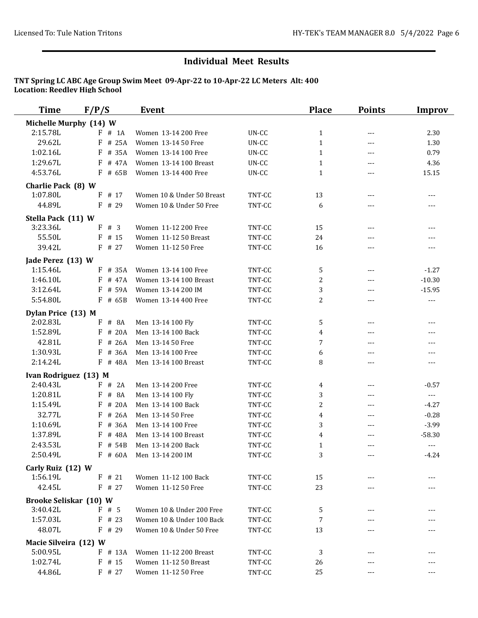| <b>Time</b>                   | F/P/S                  | Event                      |        | <b>Place</b>   | <b>Points</b>        | <b>Improv</b>       |
|-------------------------------|------------------------|----------------------------|--------|----------------|----------------------|---------------------|
|                               | Michelle Murphy (14) W |                            |        |                |                      |                     |
| 2:15.78L                      | # 1A<br>F              | Women 13-14 200 Free       | UN-CC  | $\mathbf{1}$   | $---$                | 2.30                |
| 29.62L                        | # 25A<br>F             | Women 13-14 50 Free        | UN-CC  | $\mathbf{1}$   | $\qquad \qquad - -$  | 1.30                |
| 1:02.16L                      | # 35A<br>F             | Women 13-14 100 Free       | UN-CC  | $\mathbf{1}$   | $---$                | 0.79                |
| 1:29.67L                      | # 47A<br>F             | Women 13-14 100 Breast     | UN-CC  | 1              | $\qquad \qquad - -$  | 4.36                |
| 4:53.76L                      | $F$ # 65B              | Women 13-14 400 Free       | UN-CC  | $\mathbf{1}$   | $---$                | 15.15               |
| Charlie Pack (8) W            |                        |                            |        |                |                      |                     |
| 1:07.80L                      | $F$ # 17               | Women 10 & Under 50 Breast | TNT-CC | 13             | $---$                | $---$               |
| 44.89L                        | $F$ # 29               | Women 10 & Under 50 Free   | TNT-CC | 6              | ---                  | $---$               |
| Stella Pack (11) W            |                        |                            |        |                |                      |                     |
| 3:23.36L                      | F # 3                  | Women 11-12 200 Free       | TNT-CC | 15             | $---$                | $---$               |
| 55.50L                        | $F$ # 15               | Women 11-12 50 Breast      | TNT-CC | 24             | $---$                | ---                 |
| 39.42L                        | $F$ # 27               | Women 11-12 50 Free        | TNT-CC | 16             | $---$                | $---$               |
| Jade Perez (13) W             |                        |                            |        |                |                      |                     |
| 1:15.46L                      | $F$ # 35A              | Women 13-14 100 Free       | TNT-CC | 5              | $---$                | $-1.27$             |
| 1:46.10L                      | $F$ # 47A              | Women 13-14 100 Breast     | TNT-CC | 2              | $\sim$ $\sim$ $\sim$ | $-10.30$            |
| 3:12.64L                      | $F$ # 59A              | Women 13-14 200 IM         | TNT-CC | 3              | $\cdots$             | $-15.95$            |
| 5:54.80L                      | $F$ # 65B              | Women 13-14 400 Free       | TNT-CC | $\overline{c}$ | ---                  | $---$               |
| Dylan Price (13) M            |                        |                            |        |                |                      |                     |
| 2:02.83L                      | $F$ # 8A               | Men 13-14 100 Fly          | TNT-CC | 5              | $---$                | $---$               |
| 1:52.89L                      | $F$ # 20A              | Men 13-14 100 Back         | TNT-CC | 4              | $---$                | $---$               |
| 42.81L                        | # 26A<br>F             | Men 13-14 50 Free          | TNT-CC | 7              | $---$                | $---$               |
| 1:30.93L                      | # 36A<br>F             | Men 13-14 100 Free         | TNT-CC | 6              | ---                  | $---$               |
| 2:14.24L                      | F # 48A                | Men 13-14 100 Breast       | TNT-CC | 8              | $---$                | $\cdots$            |
| Ivan Rodriguez (13) M         |                        |                            |        |                |                      |                     |
| 2:40.43L                      | F # 2A                 | Men 13-14 200 Free         | TNT-CC | 4              | $---$                | $-0.57$             |
| 1:20.81L                      | # 8A<br>F              | Men 13-14 100 Fly          | TNT-CC | 3              | $---$                | $\qquad \qquad - -$ |
| 1:15.49L                      | # 20A<br>F             | Men 13-14 100 Back         | TNT-CC | $\overline{c}$ | $---$                | $-4.27$             |
| 32.77L                        | # 26A<br>F             | Men 13-14 50 Free          | TNT-CC | 4              | $---$                | $-0.28$             |
| 1:10.69L                      | # 36A<br>F             | Men 13-14 100 Free         | TNT-CC | 3              | ---                  | $-3.99$             |
| 1:37.89L                      | # 48A<br>F             | Men 13-14 100 Breast       | TNT-CC | 4              | ---                  | $-58.30$            |
| 2:43.53L                      | $F$ # 54B              | Men 13-14 200 Back         | TNT-CC | $\mathbf{1}$   | ---                  | $---$               |
| 2:50.49L                      |                        | F # 60A Men 13-14 200 IM   | TNT-CC | 3              |                      | $-4.24$             |
|                               |                        |                            |        |                |                      |                     |
| Carly Ruiz (12) W             |                        |                            |        |                |                      |                     |
| 1:56.19L                      | $F$ # 21               | Women 11-12 100 Back       | TNT-CC | 15             |                      |                     |
| 42.45L                        | $F$ # 27               | Women 11-12 50 Free        | TNT-CC | 23             | ---                  |                     |
| <b>Brooke Seliskar (10) W</b> |                        |                            |        |                |                      |                     |
| 3:40.42L                      | $F$ # 5                | Women 10 & Under 200 Free  | TNT-CC | 5              |                      |                     |
| 1:57.03L                      | $F$ # 23               | Women 10 & Under 100 Back  | TNT-CC | 7              |                      |                     |
| 48.07L                        | $F$ # 29               | Women 10 & Under 50 Free   | TNT-CC | 13             | ---                  | ---                 |
| Macie Silveira (12) W         |                        |                            |        |                |                      |                     |
| 5:00.95L                      | $F$ # 13A              | Women 11-12 200 Breast     | TNT-CC | 3              | ---                  |                     |
| 1:02.74L                      | $F$ # 15               | Women 11-12 50 Breast      | TNT-CC | 26             | ---                  |                     |
| 44.86L                        | $F$ # 27               | Women 11-12 50 Free        | TNT-CC | 25             |                      | $---$               |